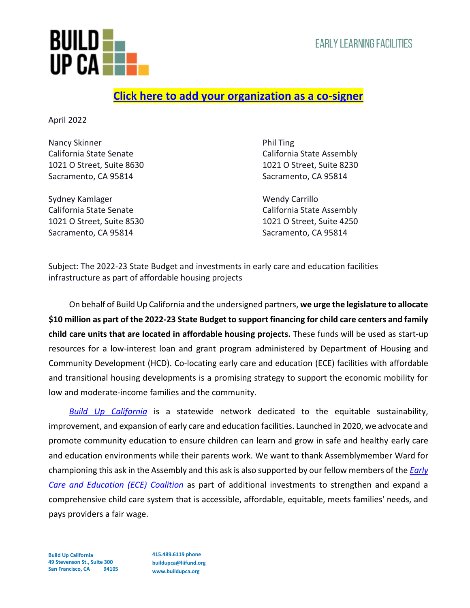

## **[Click here to add your organization as a co-signer](https://forms.gle/SxVZyVw9kn7dcEoq6)**

April 2022

Nancy Skinner **Nancy Skinner** Phil Ting California State Senate California State Assembly 1021 O Street, Suite 8630 1021 O Street, Suite 8230 Sacramento, CA 95814 Sacramento, CA 95814

Sydney Kamlager New York Carrillo Sacramento, CA 95814 Sacramento, CA 95814

California State Senate California State Assembly 1021 O Street, Suite 8530 1021 O Street, Suite 4250

Subject: The 2022-23 State Budget and investments in early care and education facilities infrastructure as part of affordable housing projects

On behalf of Build Up California and the undersigned partners, **we urge the legislature to allocate \$10 million as part of the 2022-23 State Budget to support financing for child care centers and family child care units that are located in affordable housing projects.** These funds will be used as start-up resources for a low-interest loan and grant program administered by Department of Housing and Community Development (HCD). Co-locating early care and education (ECE) facilities with affordable and transitional housing developments is a promising strategy to support the economic mobility for low and moderate-income families and the community.

*[Build Up California](https://buildupca.org/)* is a statewide network dedicated to the equitable sustainability, improvement, and expansion of early care and education facilities. Launched in 2020, we advocate and promote community education to ensure children can learn and grow in safe and healthy early care and education environments while their parents work. We want to thank Assemblymember Ward for championing this ask in the Assembly and this ask is also supported by our fellow members of the *[Early](https://www.ece4all.com/)  [Care and Education \(ECE\) Coalition](https://www.ece4all.com/)* as part of additional investments to strengthen and expand a comprehensive child care system that is accessible, affordable, equitable, meets families' needs, and pays providers a fair wage.

**Build Up California 49 Stevenson St., Suite 300 San Francisco, CA 94105** **415.489.6119 phone buildupca@liifund.org www.buildupca.org**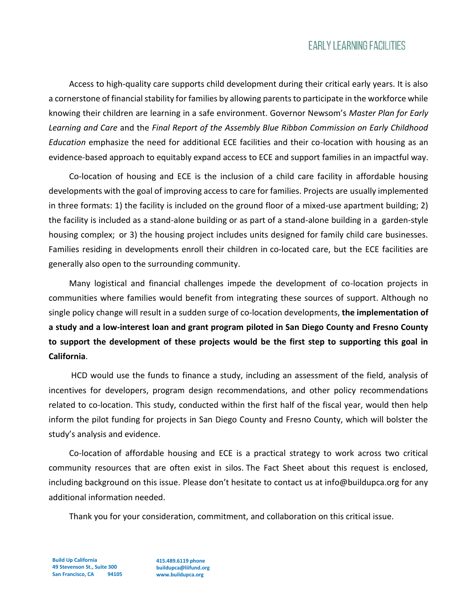## **EARLY LEARNING FACILITIES**

Access to high-quality care supports child development during their critical early years. It is also a cornerstone of financial stability for families by allowing parents to participate in the workforce while knowing their children are learning in a safe environment. Governor Newsom's *Master Plan for Early Learning and Care* and the *Final Report of the Assembly Blue Ribbon Commission on Early Childhood Education* emphasize the need for additional ECE facilities and their co-location with housing as an evidence-based approach to equitably expand access to ECE and support families in an impactful way.

Co-location of housing and ECE is the inclusion of a child care facility in affordable housing developments with the goal of improving access to care for families. Projects are usually implemented in three formats: 1) the facility is included on the ground floor of a mixed-use apartment building; 2) the facility is included as a stand-alone building or as part of a stand-alone building in a garden-style housing complex; or 3) the housing project includes units designed for family child care businesses. Families residing in developments enroll their children in co-located care, but the ECE facilities are generally also open to the surrounding community.

Many logistical and financial challenges impede the development of co-location projects in communities where families would benefit from integrating these sources of support. Although no single policy change will result in a sudden surge of co-location developments, **the implementation of a study and a low-interest loan and grant program piloted in San Diego County and Fresno County to support the development of these projects would be the first step to supporting this goal in California**.

HCD would use the funds to finance a study, including an assessment of the field, analysis of incentives for developers, program design recommendations, and other policy recommendations related to co-location. This study, conducted within the first half of the fiscal year, would then help inform the pilot funding for projects in San Diego County and Fresno County, which will bolster the study's analysis and evidence.

Co-location of affordable housing and ECE is a practical strategy to work across two critical community resources that are often exist in silos. The Fact Sheet about this request is enclosed, including background on this issue. Please don't hesitate to contact us at info@buildupca.org for any additional information needed.

Thank you for your consideration, commitment, and collaboration on this critical issue.

**Build Up California 49 Stevenson St., Suite 300 San Francisco, CA 94105**

**415.489.6119 phone buildupca@liifund.org www.buildupca.org**